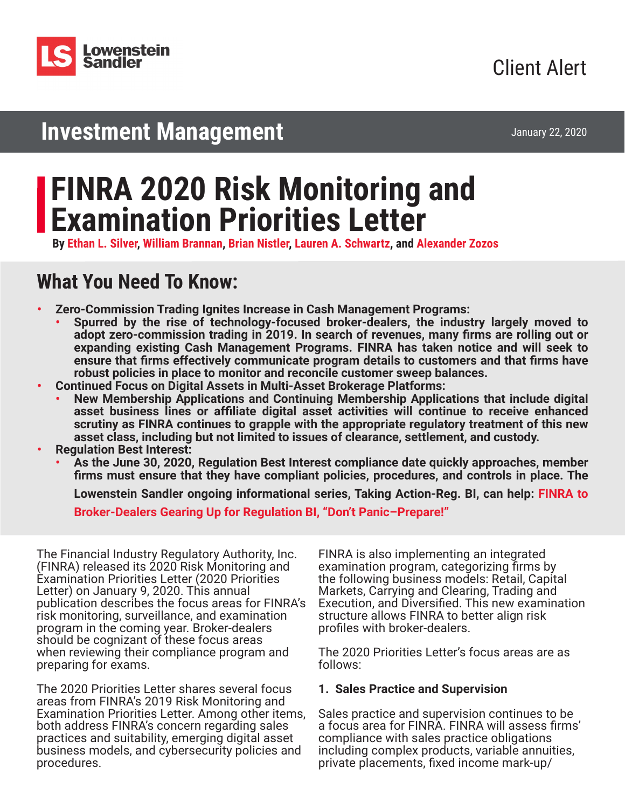

January 22, 2020

# **Investment Management**

# **FINRA 2020 Risk Monitoring and Examination Priorities Letter**

**By [Ethan L. Silver](https://www.lowenstein.com/people/attorneys/ethan-silver), [William Brannan](https://www.lowenstein.com/people/attorneys/william-brannan), [Brian Nistler](https://www.lowenstein.com/people/attorneys/brian-nistler), [Lauren A. Schwartz](https://www.lowenstein.com/people/attorneys/lauren-schwartz), and [Alexander Zozos](https://www.lowenstein.com/people/attorneys/alexander-zozos)**

# **What You Need To Know:**

- **• Zero-Commission Trading Ignites Increase in Cash Management Programs:**
	- **• Spurred by the rise of technology-focused broker-dealers, the industry largely moved to adopt zero-commission trading in 2019. In search of revenues, many firms are rolling out or expanding existing Cash Management Programs. FINRA has taken notice and will seek to ensure that firms effectively communicate program details to customers and that firms have robust policies in place to monitor and reconcile customer sweep balances.**
- **• Continued Focus on Digital Assets in Multi-Asset Brokerage Platforms:** 
	- **• New Membership Applications and Continuing Membership Applications that include digital asset business lines or affiliate digital asset activities will continue to receive enhanced scrutiny as FINRA continues to grapple with the appropriate regulatory treatment of this new asset class, including but not limited to issues of clearance, settlement, and custody.**
- **• Regulation Best Interest:**
	- **• As the June 30, 2020, Regulation Best Interest compliance date quickly approaches, member firms must ensure that they have compliant policies, procedures, and controls in place. The**

**Lowenstein Sandler ongoing informational series, Taking Action-Reg. BI, can help: [FINRA to](https://www.lowenstein.com/news-insights/publications/client-alerts/finra-to-broker-dealers-gearing-up-for-regulation-bi-don-t-panic-prepare-investment-management) [Broker-Dealers Gearing Up for Regulation BI, "Don't Panic–Prepare!"](https://www.lowenstein.com/news-insights/publications/client-alerts/finra-to-broker-dealers-gearing-up-for-regulation-bi-don-t-panic-prepare-investment-management)**

The Financial Industry Regulatory Authority, Inc. (FINRA) released its 2020 Risk Monitoring and Examination Priorities Letter (2020 Priorities Letter) on January 9, 2020. This annual publication describes the focus areas for FINRA's risk monitoring, surveillance, and examination program in the coming year. Broker-dealers should be cognizant of these focus areas when reviewing their compliance program and preparing for exams.

The 2020 Priorities Letter shares several focus areas from FINRA's 2019 Risk Monitoring and Examination Priorities Letter. Among other items, both address FINRA's concern regarding sales practices and suitability, emerging digital asset business models, and cybersecurity policies and procedures.

FINRA is also implementing an integrated examination program, categorizing firms by the following business models: Retail, Capital Markets, Carrying and Clearing, Trading and Execution, and Diversified. This new examination structure allows FINRA to better align risk profiles with broker-dealers.

The 2020 Priorities Letter's focus areas are as follows:

# **1. Sales Practice and Supervision**

Sales practice and supervision continues to be a focus area for FINRA. FINRA will assess firms' compliance with sales practice obligations including complex products, variable annuities, private placements, fixed income mark-up/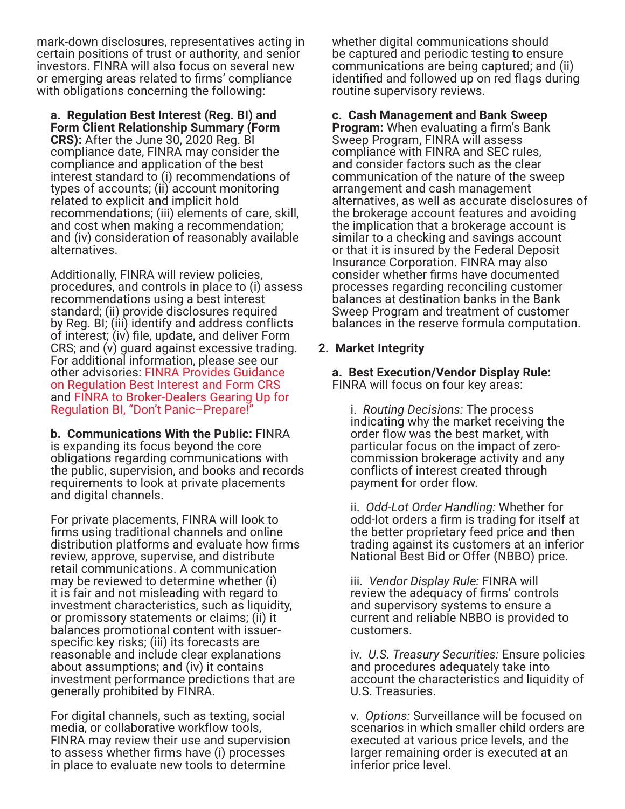mark-down disclosures, representatives acting in certain positions of trust or authority, and senior investors. FINRA will also focus on several new or emerging areas related to firms' compliance with obligations concerning the following:

**a. Regulation Best Interest (Reg. BI) and Form Client Relationship Summary (Form CRS):** After the June 30, 2020 Reg. BI compliance date, FINRA may consider the compliance and application of the best interest standard to (i) recommendations of types of accounts; (ii) account monitoring related to explicit and implicit hold recommendations; (iii) elements of care, skill, and cost when making a recommendation; and (iv) consideration of reasonably available alternatives.

Additionally, FINRA will review policies, procedures, and controls in place to (i) assess recommendations using a best interest standard; (ii) provide disclosures required by Reg. BI; (iii) identify and address conflicts of interest; (iv) file, update, and deliver Form CRS; and (v) guard against excessive trading. For additional information, please see our other advisories: [FINRA Provides Guidance](https://www.lowenstein.com/news-insights/publications/client-alerts/finra-provides-guidance-on-regulation-best-interest-and-form-crs-investment-management)  [on Regulation Best Interest and Form CRS](https://www.lowenstein.com/news-insights/publications/client-alerts/finra-provides-guidance-on-regulation-best-interest-and-form-crs-investment-management) and [FINRA to Broker-Dealers Gearing Up for](https://www.lowenstein.com/news-insights/publications/client-alerts/finra-to-broker-dealers-gearing-up-for-regulation-bi-don-t-panic-prepare-investment-management)  [Regulation BI, "Don't Panic–Prepare!"](https://www.lowenstein.com/news-insights/publications/client-alerts/finra-to-broker-dealers-gearing-up-for-regulation-bi-don-t-panic-prepare-investment-management)

**b. Communications With the Public:** FINRA is expanding its focus beyond the core obligations regarding communications with the public, supervision, and books and records requirements to look at private placements and digital channels.

For private placements, FINRA will look to firms using traditional channels and online distribution platforms and evaluate how firms review, approve, supervise, and distribute retail communications. A communication may be reviewed to determine whether (i) it is fair and not misleading with regard to investment characteristics, such as liquidity, or promissory statements or claims; (ii) it balances promotional content with issuerspecific key risks; (iii) its forecasts are reasonable and include clear explanations about assumptions; and (iv) it contains investment performance predictions that are generally prohibited by FINRA.

For digital channels, such as texting, social media, or collaborative workflow tools, FINRA may review their use and supervision to assess whether firms have (i) processes in place to evaluate new tools to determine

whether digital communications should be captured and periodic testing to ensure communications are being captured; and (ii) identified and followed up on red flags during routine supervisory reviews.

## **c. Cash Management and Bank Sweep**

**Program:** When evaluating a firm's Bank Sweep Program, FINRA will assess compliance with FINRA and SEC rules, and consider factors such as the clear communication of the nature of the sweep arrangement and cash management alternatives, as well as accurate disclosures of the brokerage account features and avoiding the implication that a brokerage account is similar to a checking and savings account or that it is insured by the Federal Deposit Insurance Corporation. FINRA may also consider whether firms have documented processes regarding reconciling customer balances at destination banks in the Bank Sweep Program and treatment of customer balances in the reserve formula computation.

## **2. Market Integrity**

**a. Best Execution/Vendor Display Rule:** FINRA will focus on four key areas:

i. *Routing Decisions:* The process indicating why the market receiving the order flow was the best market, with particular focus on the impact of zerocommission brokerage activity and any conflicts of interest created through payment for order flow.

ii. *Odd-Lot Order Handling:* Whether for odd-lot orders a firm is trading for itself at the better proprietary feed price and then trading against its customers at an inferior National Best Bid or Offer (NBBO) price.

iii. *Vendor Display Rule:* FINRA will review the adequacy of firms' controls and supervisory systems to ensure a current and reliable NBBO is provided to customers.

iv. *U.S. Treasury Securities:* Ensure policies and procedures adequately take into account the characteristics and liquidity of U.S. Treasuries.

v. *Options:* Surveillance will be focused on scenarios in which smaller child orders are executed at various price levels, and the larger remaining order is executed at an inferior price level.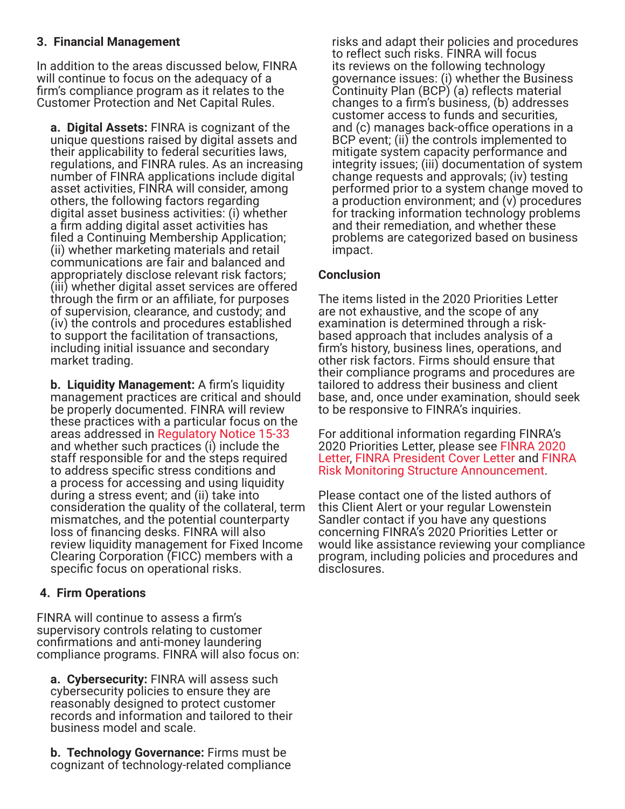# **3. Financial Management**

In addition to the areas discussed below, FINRA will continue to focus on the adequacy of a firm's compliance program as it relates to the Customer Protection and Net Capital Rules.

**a. Digital Assets:** FINRA is cognizant of the unique questions raised by digital assets and their applicability to federal securities laws, regulations, and FINRA rules. As an increasing number of FINRA applications include digital asset activities, FINRA will consider, among others, the following factors regarding digital asset business activities: (i) whether a firm adding digital asset activities has filed a Continuing Membership Application; (ii) whether marketing materials and retail communications are fair and balanced and appropriately disclose relevant risk factors; (iii) whether digital asset services are offered through the firm or an affiliate, for purposes of supervision, clearance, and custody; and (iv) the controls and procedures established to support the facilitation of transactions, including initial issuance and secondary market trading.

**b. Liquidity Management:** A firm's liquidity management practices are critical and should be properly documented. FINRA will review these practices with a particular focus on the areas addressed in [Regulatory Notice 15-33](https://www.finra.org/rules-guidance/notices/15-33) and whether such practices (i) include the staff responsible for and the steps required to address specific stress conditions and a process for accessing and using liquidity during a stress event; and (ii) take into consideration the quality of the collateral, term mismatches, and the potential counterparty loss of financing desks. FINRA will also review liquidity management for Fixed Income Clearing Corporation (FICC) members with a specific focus on operational risks.

# **4. Firm Operations**

FINRA will continue to assess a firm's supervisory controls relating to customer confirmations and anti-money laundering compliance programs. FINRA will also focus on:

**a. Cybersecurity:** FINRA will assess such cybersecurity policies to ensure they are reasonably designed to protect customer records and information and tailored to their business model and scale.

**b. Technology Governance:** Firms must be cognizant of technology-related compliance

risks and adapt their policies and procedures to reflect such risks. FINRA will focus its reviews on the following technology governance issues: (i) whether the Business Continuity Plan (BCP) (a) reflects material changes to a firm's business, (b) addresses customer access to funds and securities, and (c) manages back-office operations in a BCP event; (ii) the controls implemented to mitigate system capacity performance and integrity issues; (iii) documentation of system change requests and approvals; (iv) testing performed prior to a system change moved to a production environment; and (v) procedures for tracking information technology problems and their remediation, and whether these problems are categorized based on business impact.

# **Conclusion**

The items listed in the 2020 Priorities Letter are not exhaustive, and the scope of any examination is determined through a riskbased approach that includes analysis of a firm's history, business lines, operations, and other risk factors. Firms should ensure that their compliance programs and procedures are tailored to address their business and client base, and, once under examination, should seek to be responsive to FINRA's inquiries.

For additional information regarding FINRA's 2020 Priorities Letter, please see [FINRA 2020](https://www.finra.org/sites/default/files/2020-01/2020-risk-monitoring-and-examination-priorities-letter.pdf)  [Letter](https://www.finra.org/sites/default/files/2020-01/2020-risk-monitoring-and-examination-priorities-letter.pdf), [FINRA President Cover Letter](https://www.finra.org/rules-guidance/communications-firms/2020-risk-monitoring-and-examination-priorities-letter) and [FINRA](https://www.finra.org/media-center/newsreleases/2019/finra-announces-senior-leadership-team-under-new-examination-and)  [Risk Monitoring Structure Announcement.](https://www.finra.org/media-center/newsreleases/2019/finra-announces-senior-leadership-team-under-new-examination-and)

Please contact one of the listed authors of this Client Alert or your regular Lowenstein Sandler contact if you have any questions concerning FINRA's 2020 Priorities Letter or would like assistance reviewing your compliance program, including policies and procedures and disclosures.